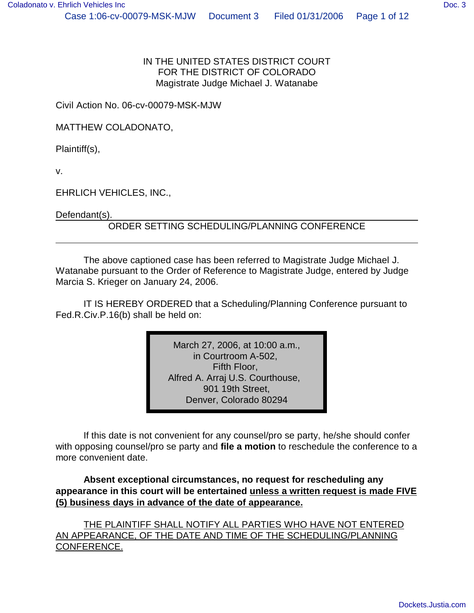IN THE UNITED STATES DISTRICT COURT FOR THE DISTRICT OF COLORADO Magistrate Judge Michael J. Watanabe

Civil Action No. 06-cv-00079-MSK-MJW

MATTHEW COLADONATO,

Plaintiff(s),

v.

EHRLICH VEHICLES, INC.,

Defendant(s).

#### ORDER SETTING SCHEDULING/PLANNING CONFERENCE

The above captioned case has been referred to Magistrate Judge Michael J. Watanabe pursuant to the Order of Reference to Magistrate Judge, entered by Judge Marcia S. Krieger on January 24, 2006.

IT IS HEREBY ORDERED that a Scheduling/Planning Conference pursuant to Fed.R.Civ.P.16(b) shall be held on:

> March 27, 2006, at 10:00 a.m., in Courtroom A-502, Fifth Floor, Alfred A. Arraj U.S. Courthouse, 901 19th Street, Denver, Colorado 80294

If this date is not convenient for any counsel/pro se party, he/she should confer with opposing counsel/pro se party and **file a motion** to reschedule the conference to a more convenient date.

**Absent exceptional circumstances, no request for rescheduling any appearance in this court will be entertained unless a written request is made FIVE (5) business days in advance of the date of appearance.**

THE PLAINTIFF SHALL NOTIFY ALL PARTIES WHO HAVE NOT ENTERED AN APPEARANCE, OF THE DATE AND TIME OF THE SCHEDULING/PLANNING CONFERENCE.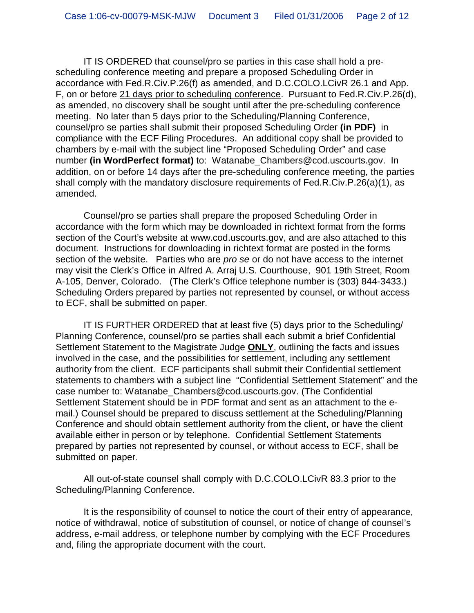IT IS ORDERED that counsel/pro se parties in this case shall hold a prescheduling conference meeting and prepare a proposed Scheduling Order in accordance with Fed.R.Civ.P.26(f) as amended, and D.C.COLO.LCivR 26.1 and App. F, on or before 21 days prior to scheduling conference. Pursuant to Fed.R.Civ.P.26(d), as amended, no discovery shall be sought until after the pre-scheduling conference meeting. No later than 5 days prior to the Scheduling/Planning Conference, counsel/pro se parties shall submit their proposed Scheduling Order **(in PDF)** in compliance with the ECF Filing Procedures. An additional copy shall be provided to chambers by e-mail with the subject line "Proposed Scheduling Order" and case number **(in WordPerfect format)** to: Watanabe\_Chambers@cod.uscourts.gov. In addition, on or before 14 days after the pre-scheduling conference meeting, the parties shall comply with the mandatory disclosure requirements of Fed.R.Civ.P.26(a)(1), as amended.

Counsel/pro se parties shall prepare the proposed Scheduling Order in accordance with the form which may be downloaded in richtext format from the forms section of the Court's website at www.cod.uscourts.gov, and are also attached to this document. Instructions for downloading in richtext format are posted in the forms section of the website. Parties who are *pro se* or do not have access to the internet may visit the Clerk's Office in Alfred A. Arraj U.S. Courthouse, 901 19th Street, Room A-105, Denver, Colorado. (The Clerk's Office telephone number is (303) 844-3433.) Scheduling Orders prepared by parties not represented by counsel, or without access to ECF, shall be submitted on paper.

IT IS FURTHER ORDERED that at least five (5) days prior to the Scheduling/ Planning Conference, counsel/pro se parties shall each submit a brief Confidential Settlement Statement to the Magistrate Judge **ONLY**, outlining the facts and issues involved in the case, and the possibilities for settlement, including any settlement authority from the client. ECF participants shall submit their Confidential settlement statements to chambers with a subject line "Confidential Settlement Statement" and the case number to: Watanabe\_Chambers@cod.uscourts.gov. (The Confidential Settlement Statement should be in PDF format and sent as an attachment to the email.) Counsel should be prepared to discuss settlement at the Scheduling/Planning Conference and should obtain settlement authority from the client, or have the client available either in person or by telephone. Confidential Settlement Statements prepared by parties not represented by counsel, or without access to ECF, shall be submitted on paper.

All out-of-state counsel shall comply with D.C.COLO.LCivR 83.3 prior to the Scheduling/Planning Conference.

It is the responsibility of counsel to notice the court of their entry of appearance, notice of withdrawal, notice of substitution of counsel, or notice of change of counsel's address, e-mail address, or telephone number by complying with the ECF Procedures and, filing the appropriate document with the court.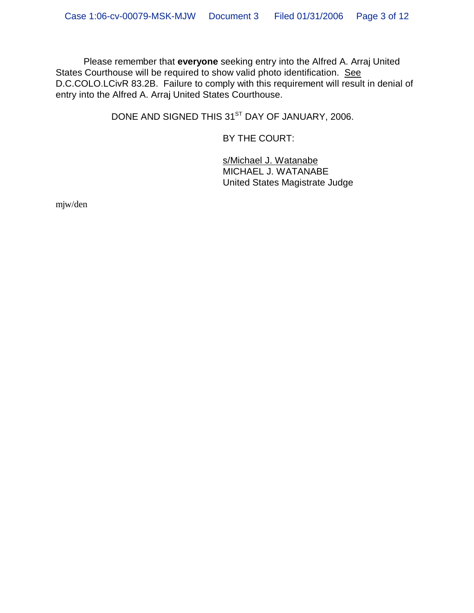Please remember that **everyone** seeking entry into the Alfred A. Arraj United States Courthouse will be required to show valid photo identification. See D.C.COLO.LCivR 83.2B. Failure to comply with this requirement will result in denial of entry into the Alfred A. Arraj United States Courthouse.

DONE AND SIGNED THIS 31<sup>ST</sup> DAY OF JANUARY, 2006.

BY THE COURT:

s/Michael J. Watanabe MICHAEL J. WATANABE United States Magistrate Judge

mjw/den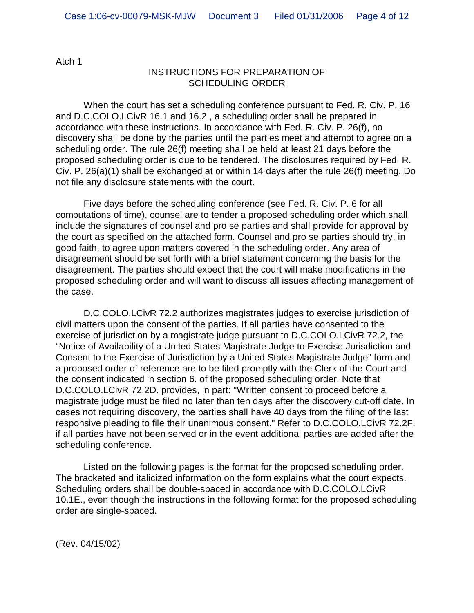Atch 1

#### INSTRUCTIONS FOR PREPARATION OF SCHEDULING ORDER

When the court has set a scheduling conference pursuant to Fed. R. Civ. P. 16 and D.C.COLO.LCivR 16.1 and 16.2 , a scheduling order shall be prepared in accordance with these instructions. In accordance with Fed. R. Civ. P. 26(f), no discovery shall be done by the parties until the parties meet and attempt to agree on a scheduling order. The rule 26(f) meeting shall be held at least 21 days before the proposed scheduling order is due to be tendered. The disclosures required by Fed. R. Civ. P. 26(a)(1) shall be exchanged at or within 14 days after the rule 26(f) meeting. Do not file any disclosure statements with the court.

Five days before the scheduling conference (see Fed. R. Civ. P. 6 for all computations of time), counsel are to tender a proposed scheduling order which shall include the signatures of counsel and pro se parties and shall provide for approval by the court as specified on the attached form. Counsel and pro se parties should try, in good faith, to agree upon matters covered in the scheduling order. Any area of disagreement should be set forth with a brief statement concerning the basis for the disagreement. The parties should expect that the court will make modifications in the proposed scheduling order and will want to discuss all issues affecting management of the case.

D.C.COLO.LCivR 72.2 authorizes magistrates judges to exercise jurisdiction of civil matters upon the consent of the parties. If all parties have consented to the exercise of jurisdiction by a magistrate judge pursuant to D.C.COLO.LCivR 72.2, the "Notice of Availability of a United States Magistrate Judge to Exercise Jurisdiction and Consent to the Exercise of Jurisdiction by a United States Magistrate Judge" form and a proposed order of reference are to be filed promptly with the Clerk of the Court and the consent indicated in section 6. of the proposed scheduling order. Note that D.C.COLO.LCivR 72.2D. provides, in part: "Written consent to proceed before a magistrate judge must be filed no later than ten days after the discovery cut-off date. In cases not requiring discovery, the parties shall have 40 days from the filing of the last responsive pleading to file their unanimous consent." Refer to D.C.COLO.LCivR 72.2F. if all parties have not been served or in the event additional parties are added after the scheduling conference.

Listed on the following pages is the format for the proposed scheduling order. The bracketed and italicized information on the form explains what the court expects. Scheduling orders shall be double-spaced in accordance with D.C.COLO.LCivR 10.1E., even though the instructions in the following format for the proposed scheduling order are single-spaced.

(Rev. 04/15/02)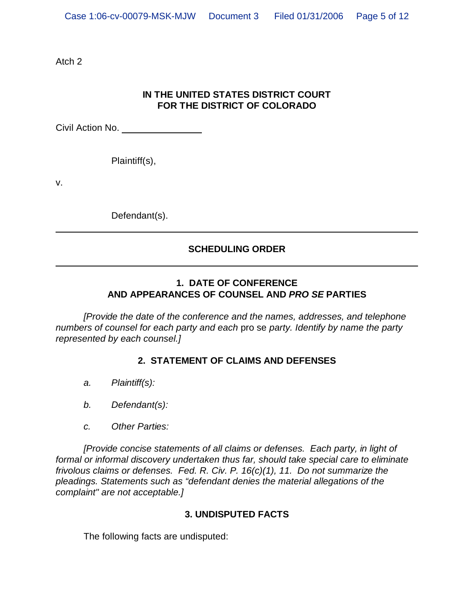Atch 2

# **IN THE UNITED STATES DISTRICT COURT FOR THE DISTRICT OF COLORADO**

Civil Action No.

Plaintiff(s),

v.

Defendant(s).

# **SCHEDULING ORDER**

## **1. DATE OF CONFERENCE AND APPEARANCES OF COUNSEL AND** *PRO SE* **PARTIES**

*[Provide the date of the conference and the names, addresses, and telephone numbers of counsel for each party and each* pro se *party. Identify by name the party represented by each counsel.]*

# **2. STATEMENT OF CLAIMS AND DEFENSES**

- *a. Plaintiff(s):*
- *b. Defendant(s):*
- *c. Other Parties:*

*[Provide concise statements of all claims or defenses. Each party, in light of formal or informal discovery undertaken thus far, should take special care to eliminate frivolous claims or defenses. Fed. R. Civ. P. 16(c)(1), 11. Do not summarize the pleadings. Statements such as "defendant denies the material allegations of the complaint" are not acceptable.]*

#### **3. UNDISPUTED FACTS**

The following facts are undisputed: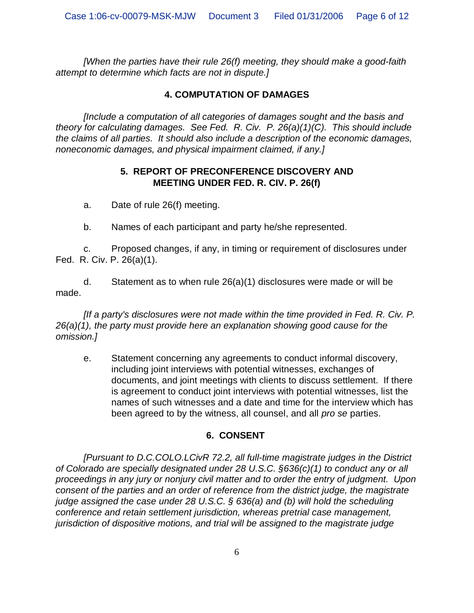*[When the parties have their rule 26(f) meeting, they should make a good-faith attempt to determine which facts are not in dispute.]*

## **4. COMPUTATION OF DAMAGES**

*[Include a computation of all categories of damages sought and the basis and theory for calculating damages. See Fed. R. Civ. P. 26(a)(1)(C). This should include the claims of all parties. It should also include a description of the economic damages, noneconomic damages, and physical impairment claimed, if any.]*

#### **5. REPORT OF PRECONFERENCE DISCOVERY AND MEETING UNDER FED. R. CIV. P. 26(f)**

a. Date of rule 26(f) meeting.

b. Names of each participant and party he/she represented.

c. Proposed changes, if any, in timing or requirement of disclosures under Fed. R. Civ. P. 26(a)(1).

d. Statement as to when rule 26(a)(1) disclosures were made or will be made.

*[If a party's disclosures were not made within the time provided in Fed. R. Civ. P. 26(a)(1), the party must provide here an explanation showing good cause for the omission.]*

e. Statement concerning any agreements to conduct informal discovery, including joint interviews with potential witnesses, exchanges of documents, and joint meetings with clients to discuss settlement. If there is agreement to conduct joint interviews with potential witnesses, list the names of such witnesses and a date and time for the interview which has been agreed to by the witness, all counsel, and all *pro se* parties.

#### **6. CONSENT**

*[Pursuant to D.C.COLO.LCivR 72.2, all full-time magistrate judges in the District of Colorado are specially designated under 28 U.S.C. §636(c)(1) to conduct any or all proceedings in any jury or nonjury civil matter and to order the entry of judgment. Upon consent of the parties and an order of reference from the district judge, the magistrate judge assigned the case under 28 U.S.C. § 636(a) and (b) will hold the scheduling conference and retain settlement jurisdiction, whereas pretrial case management, jurisdiction of dispositive motions, and trial will be assigned to the magistrate judge*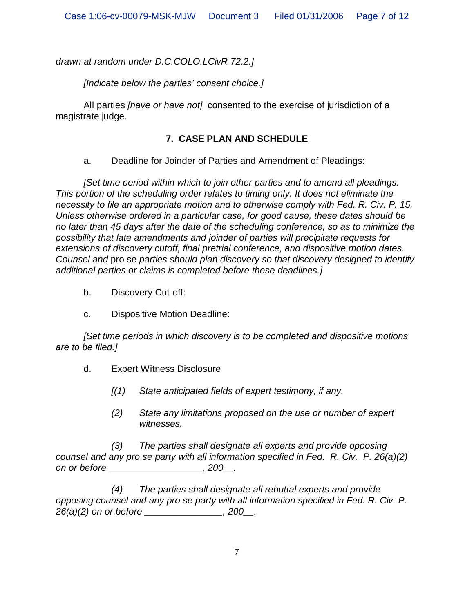*drawn at random under D.C.COLO.LCivR 72.2.]*

*[Indicate below the parties' consent choice.]*

All parties *[have or have not]* consented to the exercise of jurisdiction of a magistrate judge.

## **7. CASE PLAN AND SCHEDULE**

a. Deadline for Joinder of Parties and Amendment of Pleadings:

*[Set time period within which to join other parties and to amend all pleadings. This portion of the scheduling order relates to timing only. It does not eliminate the necessity to file an appropriate motion and to otherwise comply with Fed. R. Civ. P. 15. Unless otherwise ordered in a particular case, for good cause, these dates should be no later than 45 days after the date of the scheduling conference, so as to minimize the possibility that late amendments and joinder of parties will precipitate requests for extensions of discovery cutoff, final pretrial conference, and dispositive motion dates. Counsel and* pro se *parties should plan discovery so that discovery designed to identify additional parties or claims is completed before these deadlines.]*

- b. Discovery Cut-off:
- c. Dispositive Motion Deadline:

*[Set time periods in which discovery is to be completed and dispositive motions are to be filed.]*

- d. Expert Witness Disclosure
	- *[(1) State anticipated fields of expert testimony, if any.*
	- *(2) State any limitations proposed on the use or number of expert witnesses.*

*(3) The parties shall designate all experts and provide opposing counsel and any pro se party with all information specified in Fed. R. Civ. P. 26(a)(2) on or before \_\_\_\_\_\_\_\_\_\_\_\_\_\_\_\_\_\_, 200\_\_.*

*(4) The parties shall designate all rebuttal experts and provide opposing counsel and any pro se party with all information specified in Fed. R. Civ. P. 26(a)(2) on or before \_\_\_\_\_\_\_\_\_\_\_\_\_\_\_, 200\_\_.*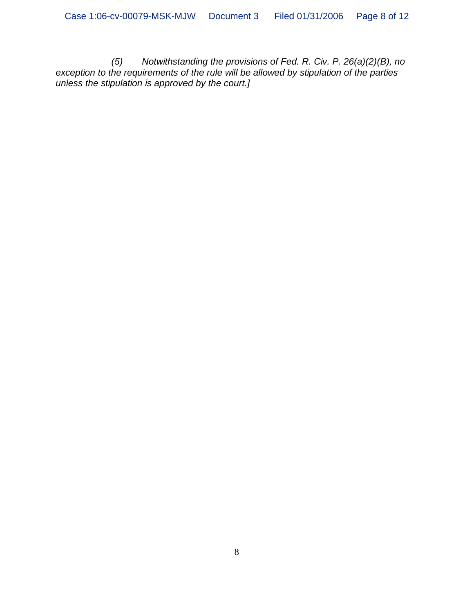*(5) Notwithstanding the provisions of Fed. R. Civ. P. 26(a)(2)(B), no exception to the requirements of the rule will be allowed by stipulation of the parties unless the stipulation is approved by the court.]*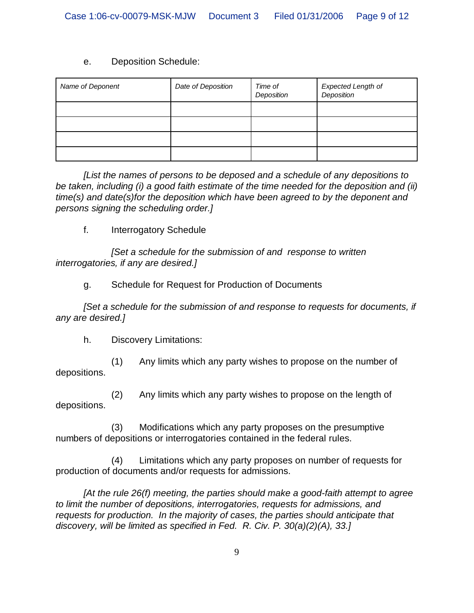#### e. Deposition Schedule:

| Name of Deponent | Date of Deposition | Time of<br>Deposition | Expected Length of<br>Deposition |
|------------------|--------------------|-----------------------|----------------------------------|
|                  |                    |                       |                                  |
|                  |                    |                       |                                  |
|                  |                    |                       |                                  |
|                  |                    |                       |                                  |

*[List the names of persons to be deposed and a schedule of any depositions to be taken, including (i) a good faith estimate of the time needed for the deposition and (ii) time(s) and date(s)for the deposition which have been agreed to by the deponent and persons signing the scheduling order.]*

f. Interrogatory Schedule

*[Set a schedule for the submission of and response to written interrogatories, if any are desired.]*

g. Schedule for Request for Production of Documents

*[Set a schedule for the submission of and response to requests for documents, if any are desired.]*

h. Discovery Limitations:

(1) Any limits which any party wishes to propose on the number of depositions.

(2) Any limits which any party wishes to propose on the length of depositions.

(3) Modifications which any party proposes on the presumptive numbers of depositions or interrogatories contained in the federal rules.

(4) Limitations which any party proposes on number of requests for production of documents and/or requests for admissions.

*[At the rule 26(f) meeting, the parties should make a good-faith attempt to agree to limit the number of depositions, interrogatories, requests for admissions, and requests for production. In the majority of cases, the parties should anticipate that discovery, will be limited as specified in Fed. R. Civ. P. 30(a)(2)(A), 33.]*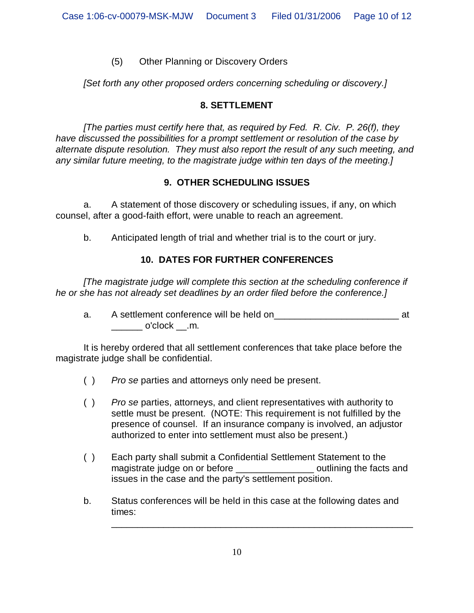## (5) Other Planning or Discovery Orders

*[Set forth any other proposed orders concerning scheduling or discovery.]*

## **8. SETTLEMENT**

*[The parties must certify here that, as required by Fed. R. Civ. P. 26(f), they have discussed the possibilities for a prompt settlement or resolution of the case by alternate dispute resolution. They must also report the result of any such meeting, and any similar future meeting, to the magistrate judge within ten days of the meeting.]*

## **9. OTHER SCHEDULING ISSUES**

a. A statement of those discovery or scheduling issues, if any, on which counsel, after a good-faith effort, were unable to reach an agreement.

b. Anticipated length of trial and whether trial is to the court or jury.

# **10. DATES FOR FURTHER CONFERENCES**

*[The magistrate judge will complete this section at the scheduling conference if he or she has not already set deadlines by an order filed before the conference.]*

a. A settlement conference will be held on\_\_\_\_\_\_\_\_\_\_\_\_\_\_\_\_\_\_\_\_\_\_\_\_ at \_\_\_\_\_\_ o'clock \_\_.m.

It is hereby ordered that all settlement conferences that take place before the magistrate judge shall be confidential.

- ( ) *Pro se* parties and attorneys only need be present.
- ( ) *Pro se* parties, attorneys, and client representatives with authority to settle must be present. (NOTE: This requirement is not fulfilled by the presence of counsel. If an insurance company is involved, an adjustor authorized to enter into settlement must also be present.)
- ( ) Each party shall submit a Confidential Settlement Statement to the magistrate judge on or before \_\_\_\_\_\_\_\_\_\_\_\_\_\_\_\_\_\_\_ outlining the facts and issues in the case and the party's settlement position.
- b. Status conferences will be held in this case at the following dates and times:

\_\_\_\_\_\_\_\_\_\_\_\_\_\_\_\_\_\_\_\_\_\_\_\_\_\_\_\_\_\_\_\_\_\_\_\_\_\_\_\_\_\_\_\_\_\_\_\_\_\_\_\_\_\_\_\_\_\_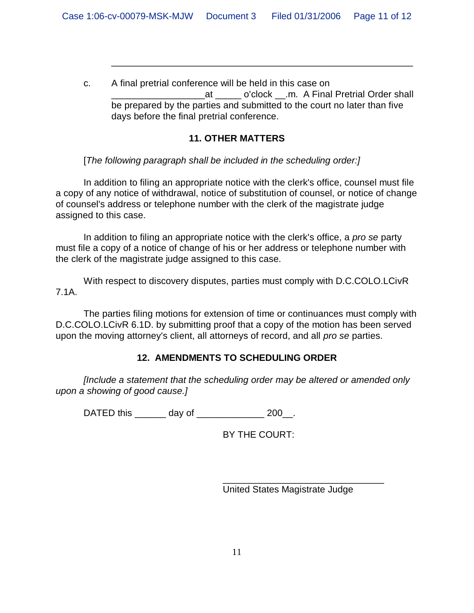c. A final pretrial conference will be held in this case on at o'clock .m. A Final Pretrial Order shall be prepared by the parties and submitted to the court no later than five days before the final pretrial conference.

\_\_\_\_\_\_\_\_\_\_\_\_\_\_\_\_\_\_\_\_\_\_\_\_\_\_\_\_\_\_\_\_\_\_\_\_\_\_\_\_\_\_\_\_\_\_\_\_\_\_\_\_\_\_\_\_\_\_

## **11. OTHER MATTERS**

[*The following paragraph shall be included in the scheduling order:]*

In addition to filing an appropriate notice with the clerk's office, counsel must file a copy of any notice of withdrawal, notice of substitution of counsel, or notice of change of counsel's address or telephone number with the clerk of the magistrate judge assigned to this case.

In addition to filing an appropriate notice with the clerk's office, a *pro se* party must file a copy of a notice of change of his or her address or telephone number with the clerk of the magistrate judge assigned to this case.

With respect to discovery disputes, parties must comply with D.C.COLO.LCivR 7.1A.

The parties filing motions for extension of time or continuances must comply with D.C.COLO.LCivR 6.1D. by submitting proof that a copy of the motion has been served upon the moving attorney's client, all attorneys of record, and all *pro se* parties.

# **12. AMENDMENTS TO SCHEDULING ORDER**

*[Include a statement that the scheduling order may be altered or amended only upon a showing of good cause.]*

DATED this day of  $200$ .

BY THE COURT:

United States Magistrate Judge

\_\_\_\_\_\_\_\_\_\_\_\_\_\_\_\_\_\_\_\_\_\_\_\_\_\_\_\_\_\_\_